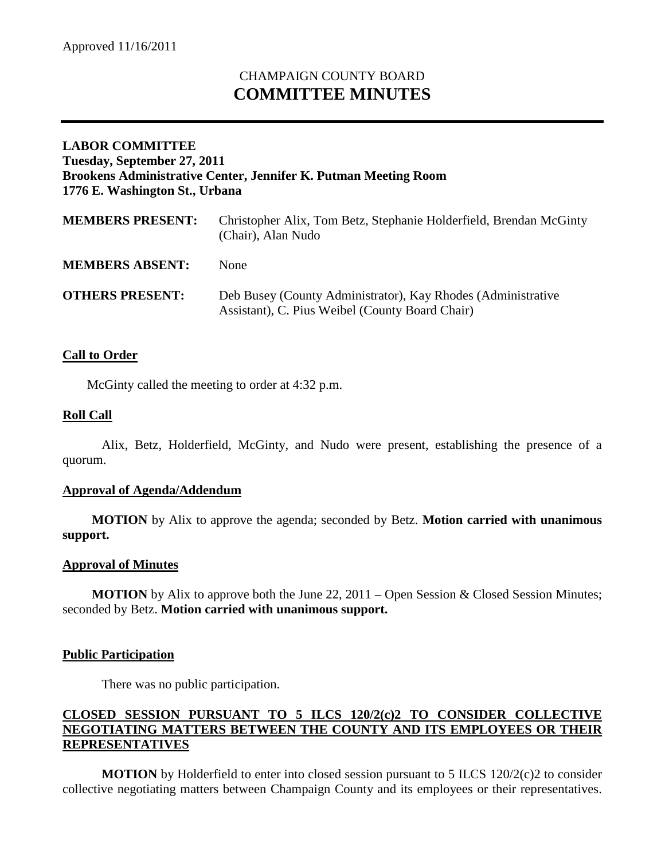# CHAMPAIGN COUNTY BOARD **COMMITTEE MINUTES**

## **LABOR COMMITTEE Tuesday, September 27, 2011 Brookens Administrative Center, Jennifer K. Putman Meeting Room 1776 E. Washington St., Urbana**

| <b>MEMBERS PRESENT:</b> | Christopher Alix, Tom Betz, Stephanie Holderfield, Brendan McGinty<br>(Chair), Alan Nudo                        |
|-------------------------|-----------------------------------------------------------------------------------------------------------------|
| <b>MEMBERS ABSENT:</b>  | <b>None</b>                                                                                                     |
| <b>OTHERS PRESENT:</b>  | Deb Busey (County Administrator), Kay Rhodes (Administrative<br>Assistant), C. Pius Weibel (County Board Chair) |

## **Call to Order**

McGinty called the meeting to order at 4:32 p.m.

## **Roll Call**

Alix, Betz, Holderfield, McGinty, and Nudo were present, establishing the presence of a quorum.

#### **Approval of Agenda/Addendum**

**MOTION** by Alix to approve the agenda; seconded by Betz. **Motion carried with unanimous support.**

#### **Approval of Minutes**

**MOTION** by Alix to approve both the June 22, 2011 – Open Session & Closed Session Minutes; seconded by Betz. **Motion carried with unanimous support.**

#### **Public Participation**

There was no public participation.

## **CLOSED SESSION PURSUANT TO 5 ILCS 120/2(c)2 TO CONSIDER COLLECTIVE NEGOTIATING MATTERS BETWEEN THE COUNTY AND ITS EMPLOYEES OR THEIR REPRESENTATIVES**

**MOTION** by Holderfield to enter into closed session pursuant to 5 ILCS 120/2(c)2 to consider collective negotiating matters between Champaign County and its employees or their representatives.